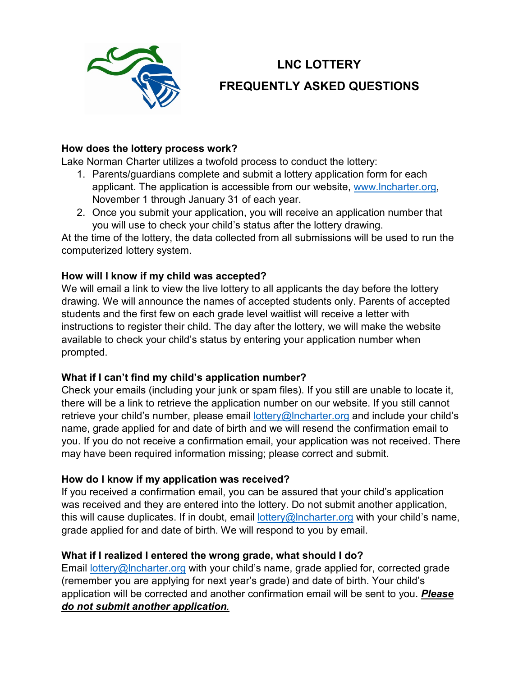

# **LNC LOTTERY FREQUENTLY ASKED QUESTIONS**

#### **How does the lottery process work?**

Lake Norman Charter utilizes a twofold process to conduct the lottery:

- 1. Parents/guardians complete and submit a lottery application form for each applicant. The application is accessible from our website, [www.lncharter.org,](http://www.lncharter.org/) November 1 through January 31 of each year.
- 2. Once you submit your application, you will receive an application number that you will use to check your child's status after the lottery drawing.

At the time of the lottery, the data collected from all submissions will be used to run the computerized lottery system.

## **How will I know if my child was accepted?**

We will email a link to view the live lottery to all applicants the day before the lottery drawing. We will announce the names of accepted students only. Parents of accepted students and the first few on each grade level waitlist will receive a letter with instructions to register their child. The day after the lottery, we will make the website available to check your child's status by entering your application number when prompted.

## **What if I can't find my child's application number?**

Check your emails (including your junk or spam files). If you still are unable to locate it, there will be a link to retrieve the application number on our website. If you still cannot retrieve your child's number, please email lottery@Incharter.org and include your child's name, grade applied for and date of birth and we will resend the confirmation email to you. If you do not receive a confirmation email, your application was not received. There may have been required information missing; please correct and submit.

## **How do I know if my application was received?**

If you received a confirmation email, you can be assured that your child's application was received and they are entered into the lottery. Do not submit another application, this will cause duplicates. If in doubt, email  $lottery@lncharter.org$  with your child's name, grade applied for and date of birth. We will respond to you by email.

## **What if I realized I entered the wrong grade, what should I do?**

Email [lottery@lncharter.org](mailto:lottery@lncharter.org) with your child's name, grade applied for, corrected grade (remember you are applying for next year's grade) and date of birth. Your child's application will be corrected and another confirmation email will be sent to you. *Please do not submit another application.*